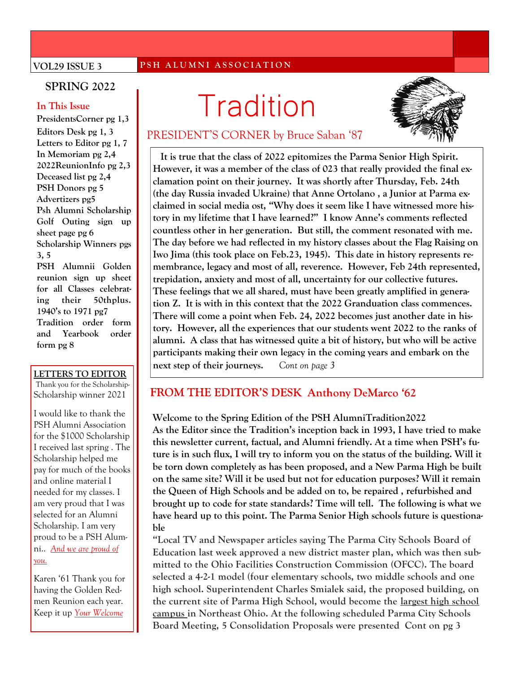#### **VOL29 ISSUE 3**

#### **P S H A L U M N I A S S O C I A T I O N**

### **SPRING 2022**

#### **In This Issue**

**Editors Desk pg 1, 3 Letters to Editor pg 1, 7 In Memoriam pg 2,4 2022ReunionInfo pg 2,3 Deceased list pg 2,4 PSH Donors pg 5 Advertizers pg5 Psh Alumni Scholarship Golf Outing sign up sheet page pg 6 Scholarship Winners pgs 3, 5 PSH Alumnii Golden reunion sign up sheet for all Classes celebrating their 50thplus. 1940's to 1971 pg7 Tradition order form and Yearbook order form pg 8**

#### **LETTERS TO EDITOR**

Thank you for the Scholarship-Scholarship winner 2021

I would like to thank the PSH Alumni Association for the \$1000 Scholarship I received last spring . The Scholarship helped me pay for much of the books and online material I needed for my classes. I am very proud that I was selected for an Alumni Scholarship. I am very proud to be a PSH Alumni.. *And we are proud of you.*

Karen '61 Thank you for having the Golden Redmen Reunion each year. Keep it up *Your Welcome*

# **In This Issue**<br>PresidentsCorner pg 1,3



## PRESIDENT'S CORNER by Bruce Saban '87

 **It is true that the class of 2022 epitomizes the Parma Senior High Spirit. However, it was a member of the class of 023 that really provided the final exclamation point on their journey. It was shortly after Thursday, Feb. 24th (the day Russia invaded Ukraine) that Anne Ortolano , a Junior at Parma exclaimed in social media ost, "Why does it seem like I have witnessed more history in my lifetime that I have learned?" I know Anne's comments reflected countless other in her generation. But still, the comment resonated with me. The day before we had reflected in my history classes about the Flag Raising on Iwo Jima (this took place on Feb.23, 1945). This date in history represents remembrance, legacy and most of all, reverence. However, Feb 24th represented, trepidation, anxiety and most of all, uncertainty for our collective futures. These feelings that we all shared, must have been greatly amplified in generation Z. It is with in this context that the 2022 Granduation class commences. There will come a point when Feb. 24, 2022 becomes just another date in history. However, all the experiences that our students went 2022 to the ranks of alumni. A class that has witnessed quite a bit of history, but who will be active participants making their own legacy in the coming years and embark on the next step of their journeys.** *Cont on page 3*

### **FROM THE EDITOR'S DESK Anthony DeMarco '62**

#### **Welcome to the Spring Edition of the PSH AlumniTradition2022**

**As the Editor since the Tradition's inception back in 1993, I have tried to make this newsletter current, factual, and Alumni friendly. At a time when PSH's future is in such flux, I will try to inform you on the status of the building. Will it be torn down completely as has been proposed, and a New Parma High be built on the same site? Will it be used but not for education purposes? Will it remain the Queen of High Schools and be added on to, be repaired , refurbished and brought up to code for state standards? Time will tell. The following is what we have heard up to this point. The Parma Senior High schools future is questionable**

**"Local TV and Newspaper articles saying The Parma City Schools Board of Education last week approved a new district master plan, which was then submitted to the Ohio Facilities Construction Commission (OFCC). The board selected a 4-2-1 model (four elementary schools, two middle schools and one high school. Superintendent Charles Smialek said, the proposed building, on the current site of Parma High School, would become the largest high school campus in Northeast Ohio. At the following scheduled Parma City Schools Board Meeting, 5 Consolidation Proposals were presented Cont on pg 3**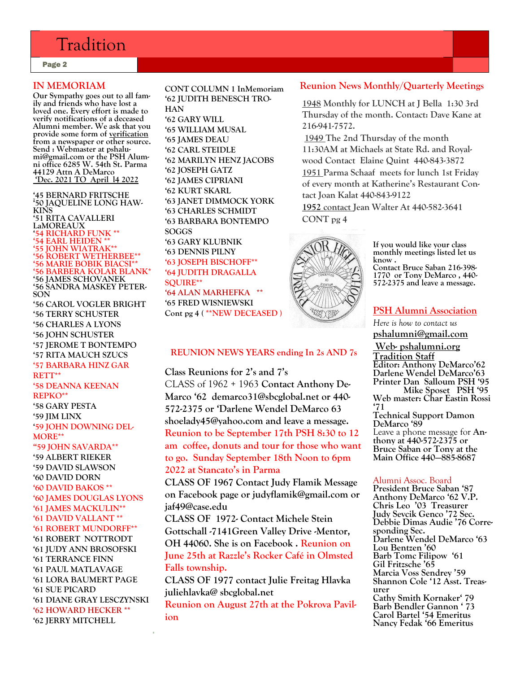# Tradition

Page 2

#### **IN MEMORIAM**

**Our Sympathy goes out to all family and friends who have lost a loved one. Every effort is made to verify notifications of a deceased Alumni member. We ask that you provide some form of verification from a newspaper or other source. Send : Webmaster at pshalumi@gmail.com or the PSH Alumni office 6285 W. 54th St. Parma 44129 Attn A DeMarco 'Dec. 2021 TO April l4 2022**

**'45 BERNARD FRITSCHE '50 JAQUELINE LONG HAW-KINS '51 RITA CAVALLERI LaMOREAUX '54 RICHARD FUNK \*\* '54 EARL HEIDEN \*\* '55 JOHN WIATRAK\*\* '56 ROBERT WETHERBEE\*\* '56 MARIE BOBIK BIACSI\*\* '56 BARBERA KOLAR BLANK\* '56 JAMES SCHOVANEK '56 SANDRA MASKEY PETER-SON**

**'56 CAROL VOGLER BRIGHT '56 TERRY SCHUSTER '56 CHARLES A LYONS '56 JOHN SCHUSTER '57 JEROME T BONTEMPO '57 RITA MAUCH SZUCS '57 BARBARA HINZ GAR RETT\*\* '58 DEANNA KEENAN REPKO\*\* '58 GARY PESTA '59 JIM LINX '59 JOHN DOWNING DEL-MORE\*\* "59 JOHN SAVARDA\*\* '59 ALBERT RIEKER '59 DAVID SLAWSON '60 DAVID DORN '60 DAVID BAKOS \*\* '60 JAMES DOUGLAS LYONS '61 JAMES MACKULIN\*\* '61 DAVID VALLANT \*\* '61 ROBERT MUNDORFF\*\* '61 ROBERT NOTTRODT '61 JUDY ANN BROSOFSKI '61 TERRANCE FINN '61 PAUL MATLAVAGE**

**'61 LORA BAUMERT PAGE '61 SUE PICARD '61 DIANE GRAY LESCZYNSKI '62 HOWARD HECKER \*\* '62 JERRY MITCHELL**

**CONT COLUMN 1 InMemoriam '62 JUDITH BENESCH TRO-HAN**

**'62 GARY WILL '65 WILLIAM MUSAL '65 JAMES DEAU '62 CARL STEIDLE '62 MARILYN HENZ JACOBS '62 JOSEPH GATZ '62 JAMES CIPRIANI '62 KURT SKARL '63 JANET DIMMOCK YORK '63 CHARLES SCHMIDT '63 BARBARA BONTEMPO SOGGS '63 GARY KLUBNIK '63 DENNIS PILNY '63 JOSEPH BISCHOFF\*\* '64 JUDITH DRAGALLA SQUIRE\*\* '64 ALAN MARHEFKA \*\* '65 FRED WISNIEWSKI Cont pg 4 ( \*\*NEW DECEASED )**

#### **REUNION NEWS YEARS ending In 2s AND 7s**

**Class Reunions for 2's and 7's** CLASS of 1962 + 1963 **Contact Anthony De-Marco '62 demarco31@sbcglobal.net or 440- 572-2375 or 'Darlene Wendel DeMarco 63 shoelady45@yahoo.com and leave a message. Reunion to be September 17th PSH 8:30 to 12 am coffee, donuts and tour for those who want to go. Sunday September 18th Noon to 6pm 2022 at Stancato's in Parma**

**CLASS OF 1967 Contact Judy Flamik Message on Facebook page or judyflamik@gmail.com or jaf49@case.edu**

**CLASS OF 1972- Contact Michele Stein Gottschall -7141Green Valley Drive -Mentor, OH 44060. She is on Facebook . Reunion on June 25th at Razzle's Rocker Café in Olmsted Falls township.**

**CLASS OF 1977 contact Julie Freitag Hlavka juliehlavka@ sbcglobal.net**

**Reunion on August 27th at the Pokrova Pavilion**

### **Reunion News Monthly/Quarterly Meetings**

**1948 Monthly for LUNCH at J Bella 1:30 3rd Thursday of the month. Contact: Dave Kane at 216-941-7572.**

**1949 The 2nd Thursday of the month 11:30AM at Michaels at State Rd. and Royalwood Contact Elaine Quint 440-843-3872 1951 Parma Schaaf meets for lunch 1st Friday of every month at Katherine's Restaurant Contact Joan Kalat 440-843-9122**

**1952 contact Jean Walter At 440-582-3641 CONT pg 4**



**If you would like your class monthly meetings listed let us know .**

**Contact Bruce Saban 216-398- 1770 or Tony DeMarco , 440- 572-2375 and leave a message.**

#### **PSH Alumni Association**

*Here is how to contact us*

**pshalumni@gmail.com**

**Web- pshalumni.org Tradition Staff Editor: Anthony DeMarco'62 Darlene Wendel DeMarco'63 Printer Dan Salloum PSH '95 Mike Sposet PSH '95 Web master: Char Eastin Rossi '71 Technical Support Damon DeMarco '89** Leave a phone message for **Anthony at 440-572-2375 or Bruce Saban or Tony at the Main Office 440—885-8687**

#### Alumni Assoc. Board

**President Bruce Saban '87 Anthony DeMarco '62 V.P. Chris Leo '03 Treasurer Judy Sevcik Genco '72 Sec. Debbie Dimas Audie '76 Corresponding Sec. Darlene Wendel DeMarco '63 Lou Bentzen '60 Barb Tomc Filipow '61 Gil Fritzsche '65 Marcia Voss Sendrey '59 Shannon Cole '12 Asst. Treasurer Cathy Smith Kornaker' 79 Barb Bendler Gannon ' 73 Carol Bartel '54 Emeritus Nancy Fedak '66 Emeritus**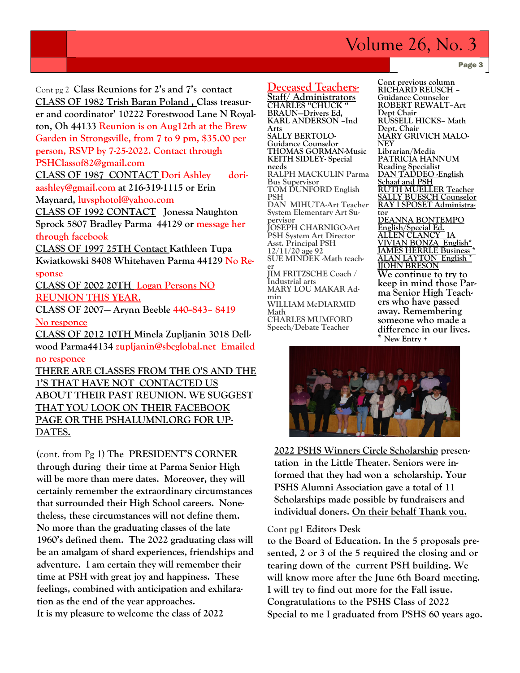# Volume 26, No. 3

Page 3

 **CLASS OF 1982 Trish Baran Poland , Class treasur-**Cont pg 2 **Class Reunions for 2's and 7's contact er and coordinator' 10222 Forestwood Lane N Royalton, Oh 44133 Reunion is on Aug12th at the Brew Garden in Strongsville, from 7 to 9 pm, \$35.00 per person, RSVP by 7-25-2022. Contact through PSHClassof82@gmail.com**

**CLASS OF 1987 CONTACT Dori Ashley doriaashley@gmail.com at 216-319-1115 or Erin Maynard, luvsphotol@yahoo.com**

**CLASS OF 1992 CONTACT Jonessa Naughton Sprock 5807 Bradley Parma 44129 or message her through facebook**

**CLASS OF 1997 25TH Contact Kathleen Tupa Kwiatkowski 8408 Whitehaven Parma 44129 No Re-**

**sponse**

**CLASS OF 2002 20TH Logan Persons NO REUNION THIS YEAR.**

**CLASS OF 2007— Arynn Beeble 440--843– 8419 No responce**

**CLASS OF 2012 10TH Minela Zupljanin 3018 Dellwood Parma44134 zupljanin@sbcglobal.net Emailed no responce** 

**THERE ARE CLASSES FROM THE O'S AND THE 1'S THAT HAVE NOT CONTACTED US ABOUT THEIR PAST REUNION. WE SUGGEST THAT YOU LOOK ON THEIR FACEBOOK PAGE OR THE PSHALUMNI.ORG FOR UP-DATES.**

(cont. from Pg 1) **The PRESIDENT'S CORNER through during their time at Parma Senior High will be more than mere dates. Moreover, they will certainly remember the extraordinary circumstances that surrounded their High School careers. Nonetheless, these circumstances will not define them. No more than the graduating classes of the late 1960's defined them. The 2022 graduating class will be an amalgam of shard experiences, friendships and adventure. I am certain they will remember their time at PSH with great joy and happiness. These feelings, combined with anticipation and exhilaration as the end of the year approaches. It is my pleasure to welcome the class of 2022**

#### **Deceased Teachers-**

**Staff/ Administrators CHARLES "CHUCK " BRAUN—Drivers Ed, KARL ANDERSON –Ind Arts SALLY BERTOLO-Guidance Counselor THOMAS GORMAN-Music KEITH SIDLEY- Special needs RALPH MACKULIN Parma Bus Supervisor TOM DUNFORD English PSH DAN MIHUTA-Art Teacher System Elementary Art Supervisor JOSEPH CHARNIGO-Art PSH System Art Director Asst. Principal PSH 12/11/20 age 92 SUE MINDEK -Math teacher JIM FRITZSCHE Coach / Industrial arts MARY LOU MAKAR Admin WILLIAM McDIARMID Math CHARLES MUMFORD Speech/Debate Teacher**

**Cont previous column RICHARD REUSCH – Guidance Counselor ROBERT REWALT–Art Dept Chair RUSSELL HICKS– Math Dept. Chair MARY GRIVICH MALO-NEY Librarian/Media PATRICIA HANNUM Reading Specialist DAN TADDEO -English Schaaf and PSH RUTH MUELLER Teacher SALLY BUESCH Counselor RAY I SPOSET Administrator DEANNA BONTEMPO English/Special Ed. ALLEN CLANCY IA VIVIAN BONZA English\* JAMES HERRLE Business \* ALAN LAYTON English \* JJOHN BRESON We continue to try to keep in mind those Parma Senior High Teachers who have passed away. Remembering someone who made a difference in our lives.** 





**2022 PSHS Winners Circle Scholarship presentation in the Little Theater. Seniors were informed that they had won a scholarship. Your PSHS Alumni Association gave a total of 11 Scholarships made possible by fundraisers and individual doners. On their behalf Thank you.**

#### **Cont pg1 Editors Desk**

**to the Board of Education. In the 5 proposals presented, 2 or 3 of the 5 required the closing and or tearing down of the current PSH building. We will know more after the June 6th Board meeting. I will try to find out more for the Fall issue. Congratulations to the PSHS Class of 2022 Special to me I graduated from PSHS 60 years ago.**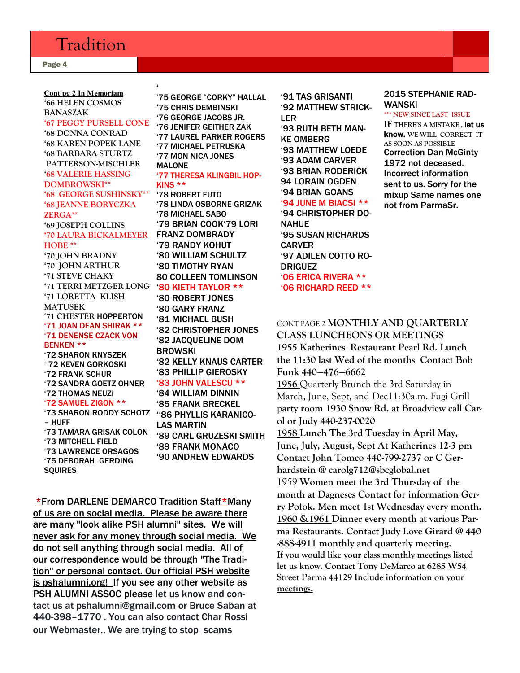# Tradition

Page 4

#### $\pmb{\epsilon}$ '73 SHARON RODDY SCHOTZ ''86 PHYLLIS KARANICO-**Cont pg 2 In Memoriam '66 HELEN COSMOS BANASZAK '67 PEGGY PURSELL CONE '68 DONNA CONRAD '68 KAREN POPEK LANE '68 BARBARA STURTZ PATTERSON-MISCHLER '68 VALERIE HASSING DOMBROWSKI\*\* '68 GEORGE SUSHINSKY\*\* '68 JEANNE BORYCZKA ZERGA\*\* '69 JOSEPH COLLINS '70 LAURA BICKALMEYER HOBE \*\* '70 JOHN BRADNY '70 JOHN ARTHUR '71 STEVE CHAKY '71 TERRI METZGER LONG '71 LORETTA KLISH MATUSEK '71 CHESTER** HOPPERTON '71 JOAN DEAN SHIRAK \*\* '71 DENENSE CZACK VON BENKEN \*\* '72 SHARON KNYSZEK ' 72 KEVEN GORKOSKI '72 FRANK SCHUR '72 SANDRA GOETZ OHNER '72 THOMAS NEUZi '72 SAMUEL ZIGON \*\* – HUFF '73 TAMARA GRISAK COLON '73 MITCHELL FIELD '73 LAWRENCE ORSAGOS '75 DEBORAH GERDING

SQUIRES

'75 GEORGE "CORKY" HALLAL '75 CHRIS DEMBINSKI '76 GEORGE JACOBS JR. '76 JENIFER GEITHER ZAK '77 LAUREL PARKER ROGERS '77 MICHAEL PETRUSKA '77 MON NICA JONES MALONE

#### '77 THERESA KLINGBIL HOP-KINS \*\*

'78 ROBERT FUTO '78 LINDA OSBORNE GRIZAK '78 MICHAEL SABO '79 BRIAN COOK'79 LORI FRANZ DOMBRADY '79 RANDY KOHUT '80 WILLIAM SCHULTZ '80 TIMOTHY RYAN 80 COLLEEN TOMLINSON

#### '80 KIETH TAYLOR \*\*

'80 ROBERT JONES '80 GARY FRANZ '81 MICHAEL BUSH '82 CHRISTOPHER JONES '82 JACQUELINE DOM BROWSKI '82 KELLY KNAUS CARTER '83 PHILLIP GIEROSKY '83 JOHN VALESCU \*\* '84 WILLIAM DINNIN '85 FRANK BRECKEL LAS MARTIN '89 CARL GRUZESKI SMITH

'89 FRANK MONACO '90 ANDREW EDWARDS

\*From DARLENE DEMARCO Tradition Staff\*Many of us are on social media. Please be aware there are many "look alike PSH alumni" sites. We will never ask for any money through social media. We do not sell anything through social media. All of our correspondence would be through "The Tradition" or personal contact. Our official PSH website is pshalumni.org! If you see any other website as PSH ALUMNI ASSOC please let us know and contact us at pshalumni@gmail.com or Bruce Saban at 440-398–1770 . You can also contact Char Rossi our Webmaster.. We are trying to stop scams

'91 TAS GRISANTI '92 MATTHEW STRICK-LER '93 RUTH BETH MAN-KE OMBERG '93 MATTHEW LOEDE '93 ADAM CARVER '93 BRIAN RODERICK 94 LORAIN OGDEN '94 BRIAN GOANS '94 JUNE M BIACSI \*\* '94 CHRISTOPHER DO-NAHUE '95 SUSAN RICHARDS CARVER '97 ADILEN COTTO RO-DRIGUEZ '06 ERICA RIVERA \*\* '06 RICHARD REED \*\*

#### 2015 STEPHANIE RAD-WANSKI

**\*\*\* NEW SINCE LAST ISSUE**

**IF THERE'S A MISTAKE ,** let us know. **WE WILL CORRECT IT AS SOON AS POSSIBLE**  Correction Dan McGinty 1972 not deceased. Incorrect information sent to us. Sorry for the mixup Same names one not from ParmaSr.

#### CONT PAGE 2 **MONTHLY AND QUARTERLY CLASS LUNCHEONS OR MEETINGS**

**1955 Katherines Restaurant Pearl Rd. Lunch the 11:30 last Wed of the months Contact Bob Funk 440—476—6662**

**1956** Quarterly Brunch the 3rd Saturday in March, June, Sept, and Dec11:30a.m. Fugi Grill p**arty room 1930 Snow Rd. at Broadview call Carol or Judy 440-237-0020**

**1958 Lunch The 3rd Tuesday in April May, June, July, August, Sept At Katherines 12-3 pm Contact John Tomco 440-799-2737 or C Gerhardstein @ carolg712@sbcglobal.net** 1959 **Women meet the 3rd Thursday of the month at Dagneses Contact for information Gerry Pofok. Men meet 1st Wednesday every month. 1960 &1961 Dinner every month at various Parma Restaurants. Contact Judy Love Girard @ 440 -888-4911 monthly and quarterly meeting. If you would like your class monthly meetings listed let us know. Contact Tony DeMarco at 6285 W54 Street Parma 44129 Include information on your meetings.**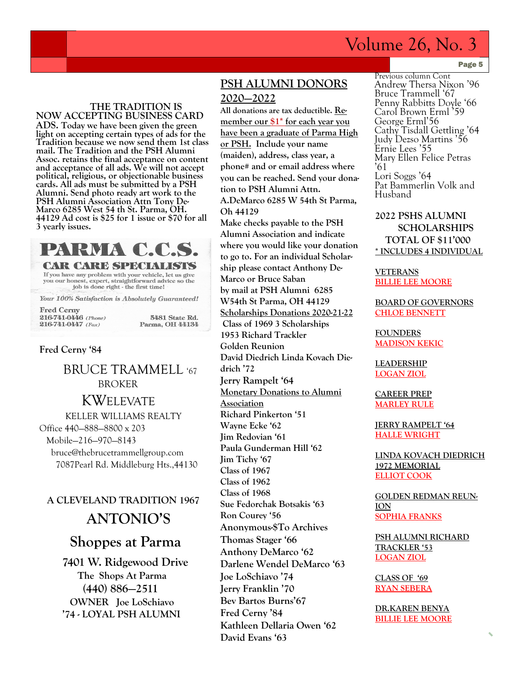# Volume 26, No. 3

#### **THE TRADITION IS NOW ACCEPTING BUSINESS CARD**

**ADS. Today we have been given the green light on accepting certain types of ads for the Tradition because we now send them 1st class mail. The Tradition and the PSH Alumni Assoc. retains the final acceptance on content and acceptance of all ads. We will not accept political, religious, or objectionable business cards. All ads must be submitted by a PSH Alumni. Send photo ready art work to the PSH Alumni Association Attn Tony De-Marco 6285 West 54 th St. Parma, OH. 44129 Ad cost is \$25 for 1 issue or \$70 for all 3 yearly issues.** 

![](_page_4_Picture_3.jpeg)

**CAR CARE SPECIALISTS**  $\frac{1}{2}$  from have any problem with your vehicle, let us give<br>you our honest, expert, straightforward advice so the job is done right - the first time!

Your 100% Satisfaction is Absolutely Guaranteed!

**Fred Cerny** 216-741-0446 (Phone) 216-741-0447 (Fax)

5481 State Rd. Parma, OH 44134

#### **Fred Cerny '84**

 BRUCE TRAMMELL '67 BROKER KWELEVATE KELLER WILLIAMS REALTY Office 440—888—8800 x 203 Mobile—216—970—8143 bruce@thebrucetrammellgroup.com 7087Pearl Rd. Middleburg Hts.,44130

# **A CLEVELAND TRADITION 1967 ANTONIO'S**

# **Shoppes at Parma**

 **7401 W. Ridgewood Drive The Shops At Parma (440) 886—2511 OWNER Joe LoSchiavo '74 - LOYAL PSH ALUMNI** 

### **PSH ALUMNI DONORS 2020—2022**

**All donations are tax deductible. Remember our \$1\* for each year you have been a graduate of Parma High or PSH. Include your name (maiden), address, class year, a phone# and or email address where you can be reached. Send your donation to PSH Alumni Attn. A.DeMarco 6285 W 54th St Parma, Oh 44129 Make checks payable to the PSH Alumni Association and indicate** 

**where you would like your donation to go to. For an individual Scholarship please contact Anthony De-Marco or Bruce Saban by mail at PSH Alumni 6285 W54th St Parma, OH 44129 Scholarships Donations 2020-21-22 Class of 1969 3 Scholarships 1953 Richard Trackler Golden Reunion David Diedrich Linda Kovach Diedrich '72 Jerry Rampelt '64 Monetary Donations to Alumni Association Richard Pinkerton '51 Wayne Ecke '62 Jim Redovian '61 Paula Gunderman Hill '62 Jim Tichy '67 Class of 1967 Class of 1962 Class of 1968 Sue Fedorchak Botsakis '63 Ron Courey '56 Anonymous-\$To Archives Thomas Stager '66 Anthony DeMarco '62 Darlene Wendel DeMarco '63 Joe LoSchiavo '74 Jerry Franklin '70 Bev Bartos Burns'67 Fred Cerny '84 Kathleen Dellaria Owen '62 David Evans '63**

Page 5

Previous column Cont Andrew Thersa Nixon '96 Bruce Trammell '67 Penny Rabbitts Doyle '66 Carol Brown Erml '59 George Erml'56 Cathy Tisdall Gettling '64 Judy Dezso Martins '56 Ernie Lees '55 Mary Ellen Felice Petras '61 Lori Soggs '64 Pat Bammerlin Volk and Husband

### **2022 PSHS ALUMNI SCHOLARSHIPS TOTAL OF \$11'000 \* INCLUDES 4 INDIVIDUAL**

**VETERANS BILLIE LEE MOORE**

**BOARD OF GOVERNORS CHLOE BENNETT**

**FOUNDERS MADISON KEKIC**

**LEADERSHIP LOGAN ZIOL**

**CAREER PREP MARLEY RULE** 

**JERRY RAMPELT '64 HALLE WRIGHT**

**LINDA KOVACH DIEDRICH 1972 MEMORIAL ELLIOT COOK**

**GOLDEN REDMAN REUN-ION SOPHIA FRANKS**

**PSH ALUMNI RICHARD TRACKLER '53 LOGAN ZIOL**

**CLASS OF '69 RYAN SEBERA** 

**DR.KAREN BENYA BILLIE LEE MOORE**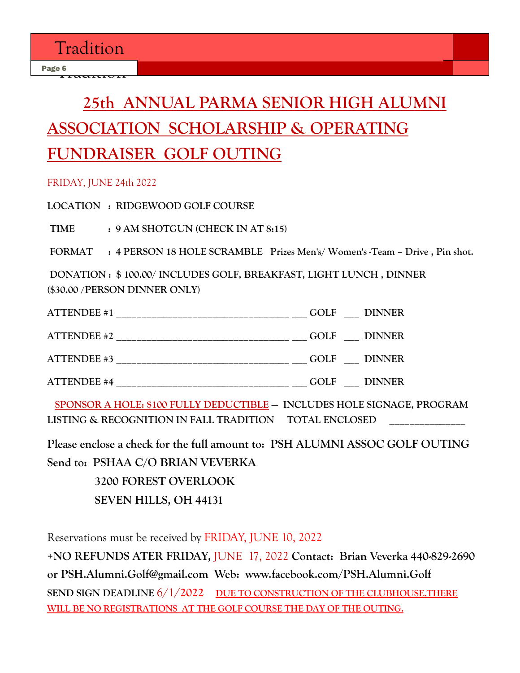# **25th ANNUAL PARMA SENIOR HIGH ALUMNI ASSOCIATION SCHOLARSHIP & OPERATING FUNDRAISER GOLF OUTING**

### FRIDAY, JUNE 24th 2022

**LOCATION : RIDGEWOOD GOLF COURSE**

**TIME : 9 AM SHOTGUN (CHECK IN AT 8:15)**

**FORMAT : 4 PERSON 18 HOLE SCRAMBLE Prizes Men's/ Women's -Team – Drive , Pin shot.**

**DONATION : \$ 100.00/ INCLUDES GOLF, BREAKFAST, LIGHT LUNCH , DINNER (\$30.00 /PERSON DINNER ONLY)**

| <b>ATTENDEE</b> #1                                          | GOLF DINNER |  |
|-------------------------------------------------------------|-------------|--|
| <b>ATTENDEE #2</b>                                          | GOLF DINNER |  |
| <b>ATTENDEE #3</b>                                          | GOLF DINNER |  |
| <b>ATTENDEE #4</b><br>_____________________________________ | GOLF DINNER |  |

 **SPONSOR A HOLE: \$100 FULLY DEDUCTIBLE — INCLUDES HOLE SIGNAGE, PROGRAM**  LISTING & RECOGNITION IN FALL TRADITION TOTAL ENCLOSED

**Please enclose a check for the full amount to: PSH ALUMNI ASSOC GOLF OUTING Send to: PSHAA C/O BRIAN VEVERKA**

> **3200 FOREST OVERLOOK SEVEN HILLS, OH 44131**

Reservations must be received by FRIDAY, JUNE 10, 2022

**+NO REFUNDS ATER FRIDAY,** JUNE 17, 2022 **Contact: Brian Veverka 440-829-2690 or PSH.Alumni.Golf@gmail.com Web: www.facebook.com/PSH.Alumni.Golf SEND SIGN DEADLINE** 6/1/**2022 DUE TO CONSTRUCTION OF THE CLUBHOUSE.THERE WILL BE NO REGISTRATIONS AT THE GOLF COURSE THE DAY OF THE OUTING.**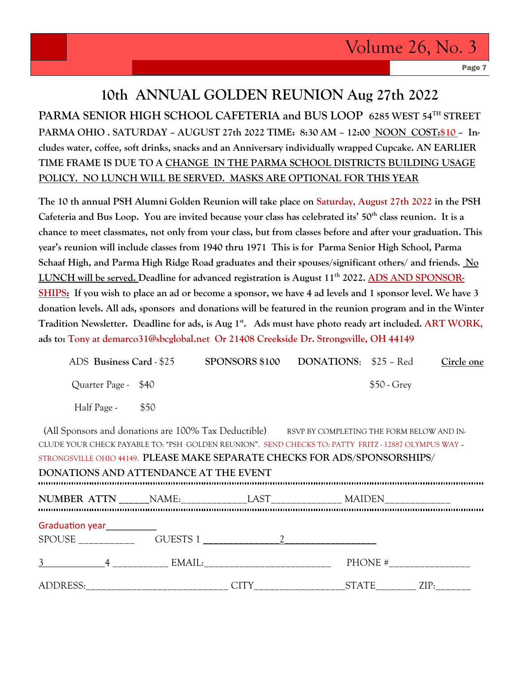Page 7

# **10th ANNUAL GOLDEN REUNION Aug 27th 2022 PARMA SENIOR HIGH SCHOOL CAFETERIA and BUS LOOP 6285 WEST 54TH STREET PARMA OHIO . SATURDAY – AUGUST 27th 2022 TIME: 8:30 AM – 12:00 NOON COST:\$10 – Includes water, coffee, soft drinks, snacks and an Anniversary individually wrapped Cupcake. AN EARLIER TIME FRAME IS DUE TO A CHANGE IN THE PARMA SCHOOL DISTRICTS BUILDING USAGE POLICY. NO LUNCH WILL BE SERVED. MASKS ARE OPTIONAL FOR THIS YEAR**

**The 10 th annual PSH Alumni Golden Reunion will take place on Saturday, August 27th 2022 in the PSH Cafeteria and Bus Loop. You are invited because your class has celebrated its' 50th class reunion. It is a chance to meet classmates, not only from your class, but from classes before and after your graduation. This year's reunion will include classes from 1940 thru 1971 This is for Parma Senior High School, Parma Schaaf High, and Parma High Ridge Road graduates and their spouses/significant others/ and friends. No LUNCH will be served. Deadline for advanced registration is August 11th 2022. ADS AND SPONSOR-SHIPS: If you wish to place an ad or become a sponsor, we have 4 ad levels and 1 sponsor level. We have 3 donation levels. All ads, sponsors and donations will be featured in the reunion program and in the Winter Tradition Newsletter. Deadline for ads, is Aug 1st. Ads must have photo ready art included. ART WORK, ads to: Tony at demarco31@sbcglobal.net Or 21408 Creekside Dr. Strongsville, OH 44149** 

| ADS Business Card - \$25 |      | <b>SPONSORS \$100</b> | <b>DONATIONS:</b> \$25 – Red |              | Circle one |
|--------------------------|------|-----------------------|------------------------------|--------------|------------|
| Quarter Page - \$40      |      |                       |                              | $$50$ - Grey |            |
| Half Page -              | \$50 |                       |                              |              |            |

|                                                                                                      |                                       |                                         |  | (All Sponsors and donations are 100% Tax Deductible) RSVP BY COMPLETING THE FORM BELOW AND IN- |  |  |
|------------------------------------------------------------------------------------------------------|---------------------------------------|-----------------------------------------|--|------------------------------------------------------------------------------------------------|--|--|
| CLUDE YOUR CHECK PAYABLE TO: "PSH GOLDEN REUNION". SEND CHECKS TO: PATTY FRITZ - 12887 OLYMPUS WAY - |                                       |                                         |  |                                                                                                |  |  |
| STRONGSVILLE OHIO 44149. PLEASE MAKE SEPARATE CHECKS FOR ADS/SPONSORSHIPS/                           |                                       |                                         |  |                                                                                                |  |  |
|                                                                                                      | DONATIONS AND ATTENDANCE AT THE EVENT |                                         |  |                                                                                                |  |  |
|                                                                                                      |                                       |                                         |  |                                                                                                |  |  |
|                                                                                                      |                                       |                                         |  |                                                                                                |  |  |
|                                                                                                      |                                       |                                         |  |                                                                                                |  |  |
|                                                                                                      |                                       | Graduation year<br><u>Canadian year</u> |  |                                                                                                |  |  |
|                                                                                                      |                                       | SPOUSE GUESTS 1 2                       |  |                                                                                                |  |  |
|                                                                                                      |                                       |                                         |  |                                                                                                |  |  |
|                                                                                                      |                                       |                                         |  |                                                                                                |  |  |
|                                                                                                      |                                       |                                         |  |                                                                                                |  |  |